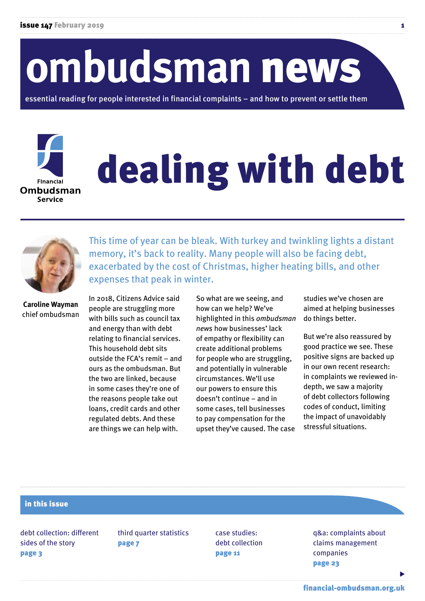# **ombudsman** news

essential reading for people interested in financial complaints – and how to prevent or settle them

# dealing with debt



**Financial** Ombudsman Service

> This time of year can be bleak. With turkey and twinkling lights a distant memory, it's back to reality. Many people will also be facing debt, exacerbated by the cost of Christmas, higher heating bills, and other expenses that peak in winter.

**Caroline Wayman**  chief ombudsman

In 2018, Citizens Advice said people are struggling more with bills such as council tax and energy than with debt relating to financial services. This household debt sits outside the FCA's remit – and ours as the ombudsman. But the two are linked, because in some cases they're one of the reasons people take out loans, credit cards and other regulated debts. And these are things we can help with.

So what are we seeing, and how can we help? We've highlighted in this *ombudsman news* how businesses' lack of empathy or flexibility can create additional problems for people who are struggling, and potentially in vulnerable circumstances. We'll use our powers to ensure this doesn't continue – and in some cases, tell businesses to pay compensation for the upset they've caused. The case

studies we've chosen are aimed at helping businesses do things better.

But we're also reassured by good practice we see. These positive signs are backed up in our own recent research: in complaints we reviewed indepth, we saw a majority of debt collectors following codes of conduct, limiting the impact of unavoidably stressful situations.

#### in this issue

debt collection: different sides of the story page 3

third quarter statistics page 7

case studies: debt collection page 11

q&a: complaints about claims management companies page 23

[financial-ombudsman.org.uk](https://www.financial-ombudsman.org.uk/)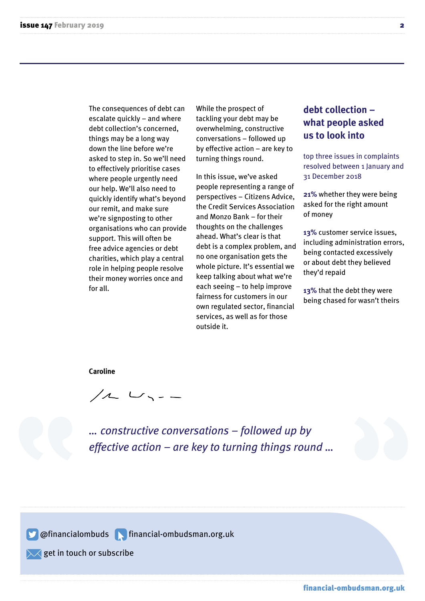The consequences of debt can escalate quickly – and where debt collection's concerned, things may be a long way down the line before we're asked to step in. So we'll need to effectively prioritise cases where people urgently need our help. We'll also need to quickly identify what's beyond our remit, and make sure we're signposting to other organisations who can provide support. This will often be free advice agencies or debt charities, which play a central role in helping people resolve their money worries once and for all.

While the prospect of tackling your debt may be overwhelming, constructive conversations – followed up by effective action – are key to turning things round.

In this issue, we've asked people representing a range of perspectives – Citizens Advice, the Credit Services Association and Monzo Bank – for their thoughts on the challenges ahead. What's clear is that debt is a complex problem, and no one organisation gets the whole picture. It's essential we keep talking about what we're each seeing – to help improve fairness for customers in our own regulated sector, financial services, as well as for those outside it.

#### **debt collection – what people asked us to look into**

top three issues in complaints resolved between 1 January and 31 December 2018

**21%** whether they were being asked for the right amount of money

**13%** customer service issues, including administration errors, being contacted excessively or about debt they believed they'd repaid

**13%** that the debt they were being chased for wasn't theirs

**Caroline** 

 $112$   $113$ 

*… constructive conversations – followed up by effective action – are key to turning things round …* 

@financialombuds financial-ombudsman.org.uk

 $\sqrt{}$  get in touch or [subscribe](https://www.financial-ombudsman.org.uk/subscribe-newsletter)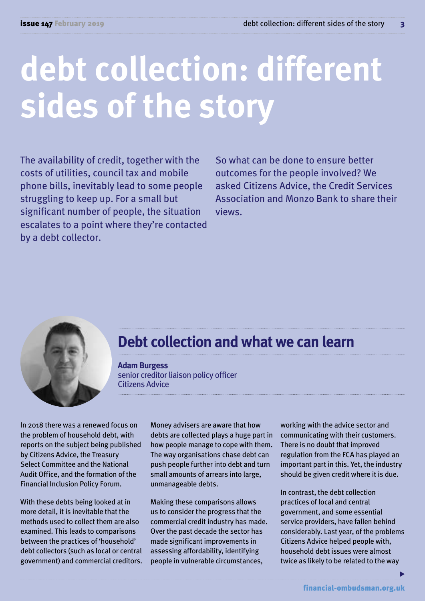## **debt collection: different sides of the story**

The availability of credit, together with the costs of utilities, council tax and mobile phone bills, inevitably lead to some people struggling to keep up. For a small but significant number of people, the situation escalates to a point where they're contacted by a debt collector.

So what can be done to ensure better outcomes for the people involved? We asked Citizens Advice, the Credit Services Association and Monzo Bank to share their views.



#### **Debt collection and what we can learn**

**Adam Burgess**  senior creditor liaison policy officer Citizens Advice

In 2018 there was a renewed focus on the problem of household debt, with reports on the subject being published by Citizens Advice, the Treasury Select Committee and the National Audit Office, and the formation of the Financial Inclusion Policy Forum.

With these debts being looked at in more detail, it is inevitable that the methods used to collect them are also examined. This leads to comparisons between the practices of 'household' debt collectors (such as local or central government) and commercial creditors. Money advisers are aware that how debts are collected plays a huge part in how people manage to cope with them. The way organisations chase debt can push people further into debt and turn small amounts of arrears into large, unmanageable debts.

Making these comparisons allows us to consider the progress that the commercial credit industry has made. Over the past decade the sector has made significant improvements in assessing affordability, identifying people in vulnerable circumstances,

working with the advice sector and communicating with their customers. There is no doubt that improved regulation from the FCA has played an important part in this. Yet, the industry should be given credit where it is due.

In contrast, the debt collection practices of local and central government, and some essential service providers, have fallen behind considerably. Last year, of the problems Citizens Advice helped people with, household debt issues were almost twice as likely to be related to the way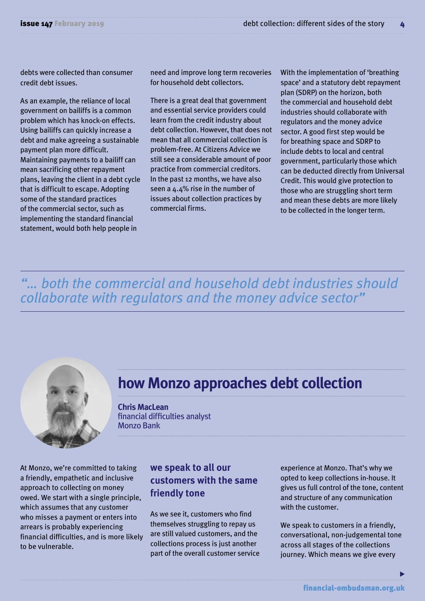debts were collected than consumer credit debt issues.

As an example, the reliance of local government on bailiffs is a common problem which has knock-on effects. Using bailiffs can quickly increase a debt and make agreeing a sustainable payment plan more difficult. Maintaining payments to a bailiff can mean sacrificing other repayment plans, leaving the client in a debt cycle that is difficult to escape. Adopting some of the standard practices of the commercial sector, such as implementing the standard financial statement, would both help people in

need and improve long term recoveries for household debt collectors.

There is a great deal that government and essential service providers could learn from the credit industry about debt collection. However, that does not mean that all commercial collection is problem-free. At Citizens Advice we still see a considerable amount of poor practice from commercial creditors. In the past 12 months, we have also seen a 4.4% rise in the number of issues about collection practices by commercial firms.

With the implementation of 'breathing space' and a statutory debt repayment plan (SDRP) on the horizon, both the commercial and household debt industries should collaborate with regulators and the money advice sector. A good first step would be for breathing space and SDRP to include debts to local and central government, particularly those which can be deducted directly from Universal Credit. This would give protection to those who are struggling short term and mean these debts are more likely to be collected in the longer term.

*"… both the commercial and household debt industries should collaborate with regulators and the money advice sector"* 



#### **how Monzo approaches debt collection**

**Chris MacLean**  financial difficulties analyst Monzo Bank

At Monzo, we're committed to taking a friendly, empathetic and inclusive approach to collecting on money owed. We start with a single principle, which assumes that any customer who misses a payment or enters into arrears is probably experiencing financial difficulties, and is more likely to be vulnerable.

#### **we speak to all our customers with the same friendly tone**

As we see it, customers who find themselves struggling to repay us are still valued customers, and the collections process is just another part of the overall customer service experience at Monzo. That's why we opted to keep collections in-house. It gives us full control of the tone, content and structure of any communication with the customer.

We speak to customers in a friendly, conversational, non-judgemental tone across all stages of the collections journey. Which means we give every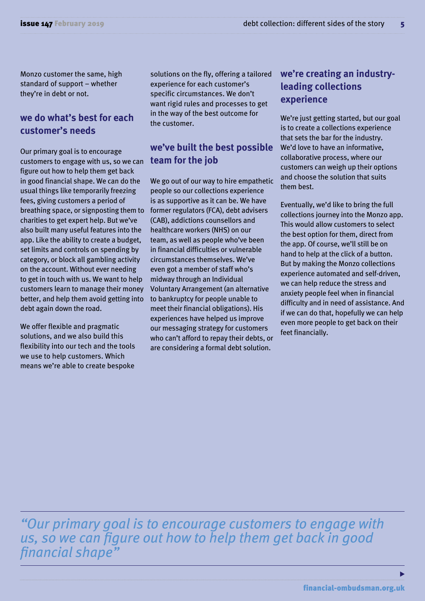Monzo customer the same, high standard of support – whether they're in debt or not.

#### **we do what's best for each customer's needs**

Our primary goal is to encourage customers to engage with us, so we can figure out how to help them get back in good financial shape. We can do the usual things like temporarily freezing fees, giving customers a period of breathing space, or signposting them to charities to get expert help. But we've also built many useful features into the app. Like the ability to create a budget, set limits and controls on spending by category, or block all gambling activity on the account. Without ever needing to get in touch with us. We want to help customers learn to manage their money better, and help them avoid getting into debt again down the road.

We offer flexible and pragmatic solutions, and we also build this flexibility into our tech and the tools we use to help customers. Which means we're able to create bespoke solutions on the fly, offering a tailored experience for each customer's specific circumstances. We don't want rigid rules and processes to get in the way of the best outcome for the customer.

#### **we've built the best possible team for the job**

We go out of our way to hire empathetic people so our collections experience is as supportive as it can be. We have former regulators (FCA), debt advisers (CAB), addictions counsellors and healthcare workers (NHS) on our team, as well as people who've been in financial difficulties or vulnerable circumstances themselves. We've even got a member of staff who's midway through an Individual Voluntary Arrangement (an alternative to bankruptcy for people unable to meet their financial obligations). His experiences have helped us improve our messaging strategy for customers who can't afford to repay their debts, or are considering a formal debt solution.

#### **we're creating an industryleading collections experience**

We're just getting started, but our goal is to create a collections experience that sets the bar for the industry. We'd love to have an informative, collaborative process, where our customers can weigh up their options and choose the solution that suits them best.

Eventually, we'd like to bring the full collections journey into the Monzo app. This would allow customers to select the best option for them, direct from the app. Of course, we'll still be on hand to help at the click of a button. But by making the Monzo collections experience automated and self-driven, we can help reduce the stress and anxiety people feel when in financial difficulty and in need of assistance. And if we can do that, hopefully we can help even more people to get back on their feet financially.

*"Our primary goal is to encourage customers to engage with us, so we can figure out how to help them get back in good financial shape"*

ь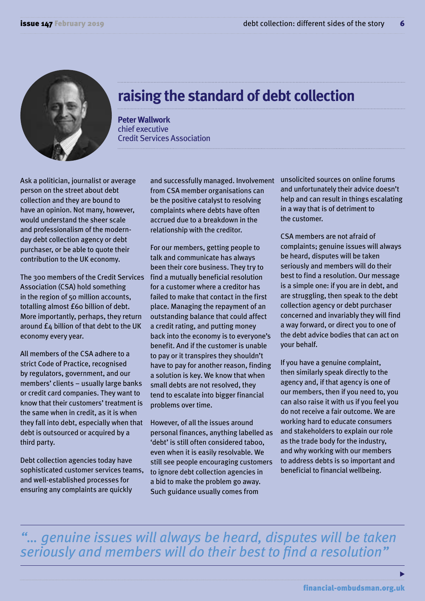

#### **raising the standard of debt collection**

**Peter Wallwork**  chief executive Credit Services Association

Ask a politician, journalist or average person on the street about debt collection and they are bound to have an opinion. Not many, however, would understand the sheer scale and professionalism of the modernday debt collection agency or debt purchaser, or be able to quote their contribution to the UK economy.

The 300 members of the Credit Services Association (CSA) hold something in the region of 50 million accounts, totalling almost £60 billion of debt. More importantly, perhaps, they return around  $f_A$  billion of that debt to the UK economy every year.

All members of the CSA adhere to a strict Code of Practice, recognised by regulators, government, and our members' clients – usually large banks or credit card companies. They want to know that their customers' treatment is the same when in credit, as it is when they fall into debt, especially when that debt is outsourced or acquired by a third party.

Debt collection agencies today have sophisticated customer services teams, and well-established processes for ensuring any complaints are quickly

and successfully managed. Involvement from CSA member organisations can be the positive catalyst to resolving complaints where debts have often accrued due to a breakdown in the relationship with the creditor.

For our members, getting people to talk and communicate has always been their core business. They try to find a mutually beneficial resolution for a customer where a creditor has failed to make that contact in the first place. Managing the repayment of an outstanding balance that could affect a credit rating, and putting money back into the economy is to everyone's benefit. And if the customer is unable to pay or it transpires they shouldn't have to pay for another reason, finding a solution is key. We know that when small debts are not resolved, they tend to escalate into bigger financial problems over time.

However, of all the issues around personal finances, anything labelled as 'debt' is still often considered taboo, even when it is easily resolvable. We still see people encouraging customers to ignore debt collection agencies in a bid to make the problem go away. Such guidance usually comes from

unsolicited sources on online forums and unfortunately their advice doesn't help and can result in things escalating in a way that is of detriment to the customer.

CSA members are not afraid of complaints; genuine issues will always be heard, disputes will be taken seriously and members will do their best to find a resolution. Our message is a simple one: if you are in debt, and are struggling, then speak to the debt collection agency or debt purchaser concerned and invariably they will find a way forward, or direct you to one of the debt advice bodies that can act on your behalf.

If you have a genuine complaint, then similarly speak directly to the agency and, if that agency is one of our members, then if you need to, you can also raise it with us if you feel you do not receive a fair outcome. We are working hard to educate consumers and stakeholders to explain our role as the trade body for the industry, and why working with our members to address debts is so important and beneficial to financial wellbeing.

*"… genuine issues will always be heard, disputes will be taken seriously and members will do their best to find a resolution"*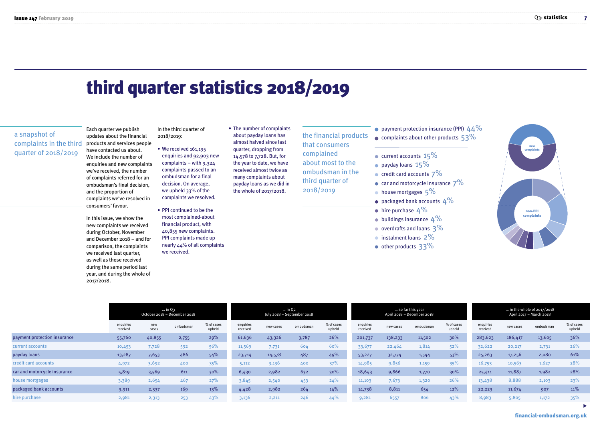### third quarter statistics 2018/2019

#### a snapshot of complaints in the third quarter of 2018/2019

Each quarter we publish updates about the financial products and services people have contacted us about. We include the number of enquiries and new complaints we've received, the number of complaints referred for an ombudsman's final decision, and the proportion of complaints we've resolved in consumers' favour.

In this issue, we show the new complaints we received during October, November and December 2018 – and for comparison, the complaints we received last quarter, as well as those received during the same period last year, and during the whole of 2017/2018.

In the third quarter of 2018/2019:

- We received 161,195 enquiries and 92,903 new complaints – with  $9,324$ complaints passed to an ombudsman for a final decision. On average, we upheld 33% of the complaints we resolved.
- PPI continued to be the most complained-about financial product, with 40,855 new complaints. PPI complaints made up nearly 44% of all complaints we received.

• The number of complaints about payday loans has almost halved since last quarter, dropping from 14,578 to 7,728. But, for the year to date, we have received almost twice as many complaints about payday loans as we did in the whole of 2017/2018.

the financial products that consumers complained about most to the ombudsman in the third quarter of 2018/2019

- payment protection insurance (PPI)  $44\%$
- $\bullet$  complaints about other products  $53\%$
- $\bullet$  current accounts  $15\%$
- $\bullet$  payday loans  $15\%$
- $\bullet$  credit card accounts  $7\%$
- car and motorcycle insurance  $7\%$
- $\bullet$  house mortgages  $5\%$
- packaged bank accounts  $4\%$
- $\bullet$  hire purchase  $4\%$
- $\bullet$  buildings insurance  $4\%$
- overdrafts and loans 3%
- **instalment loans 2%**
- other products 33%



|                              | $\ldots$ in Q3<br>October 2018 - December 2018 |              |           |                      |                       |           | $\ldots$ in Q <sub>2</sub><br>July 2018 - September 2018 |                      |                       |           | so far this year<br>April 2018 - December 2018 |                      | in the whole of $2017/2018$<br>April 2017 - March 2018 |           |           |                      |  |
|------------------------------|------------------------------------------------|--------------|-----------|----------------------|-----------------------|-----------|----------------------------------------------------------|----------------------|-----------------------|-----------|------------------------------------------------|----------------------|--------------------------------------------------------|-----------|-----------|----------------------|--|
|                              | enquiries<br>received                          | new<br>cases | ombudsman | % of cases<br>upheld | enquiries<br>received | new cases | ombudsman                                                | % of cases<br>upheld | enquiries<br>received | new cases | ombudsman                                      | % of cases<br>upheld | enguiries<br>received                                  | new cases | ombudsman | % of cases<br>upheld |  |
| payment protection insurance | 55,760                                         | 40,855       | 2,755     | 29%                  | 61,636                | 43,326    | 3,787                                                    | 26%                  | 201,737               | 138,233   | 11,502                                         | 30%                  | 283,623                                                | 186,417   | 13,605    | 36%                  |  |
| current accounts             | 10,453                                         | 7,728        | 592       | 56%                  | 11,569                | 7,731     | 604                                                      | 60%                  | 33,677                | 22,464    | 1,814                                          | 52%                  | 32,622                                                 | 20,217    | 2,731     | 26%                  |  |
| payday loans                 | 13,287                                         | 7,653        | 486       | 54%                  | 23,714                | 14,578    | 487                                                      | 49%                  | 53,227                | 32,774    | 1,544                                          | 53%                  | 25,263                                                 | 17,256    | 2,080     | 61%                  |  |
| credit card accounts         | 4,972                                          | 3,692        | 400       | 35%                  | 5,112                 | 3,136     | 400                                                      | 37%                  | 14,985                | 9,856     | 1,159                                          | 35%                  | 16,753                                                 | 10,563    | 1,627     | 28%                  |  |
| car and motorcycle insurance | 5,819                                          | 3,569        | 611       | 30%                  | 6,430                 | 2,982     | 632                                                      | 30%                  | 18,643                | 9,866     | 1,770                                          | 30%                  | 25,411                                                 | 11,887    | 1,982     | 28%                  |  |
| house mortgages              | 3,389                                          | 2,654        | 467       | 27%                  | 3,845                 | 2,540     | 453                                                      | 24%                  | 11,103                | 7,673     | 1,320                                          | 26%                  | 13,438                                                 | 8,888     | 2,103     | 23%                  |  |
| packaged bank accounts       | 3,911                                          | 2,337        | 169       | 13%                  | 4,428                 | 2,982     | 264                                                      | 14%                  | 14,738                | 8,811     | 654                                            | 12%                  | 22,223                                                 | 11,674    | 907       | 11%                  |  |
| hire purchase                | 2,981                                          | 2,313        | 253       | 43%                  | 3,136                 | 2,211     | 246                                                      | 44%                  | 9,281                 | 6557      | 806                                            | 43%                  | 8,983                                                  | 5,805     | 1,172     | 35%                  |  |
|                              |                                                |              |           |                      |                       |           |                                                          |                      |                       |           |                                                |                      |                                                        |           |           | $\sim$               |  |

[financial-ombudsman.org.uk](https://www.financial-ombudsman.org.uk/)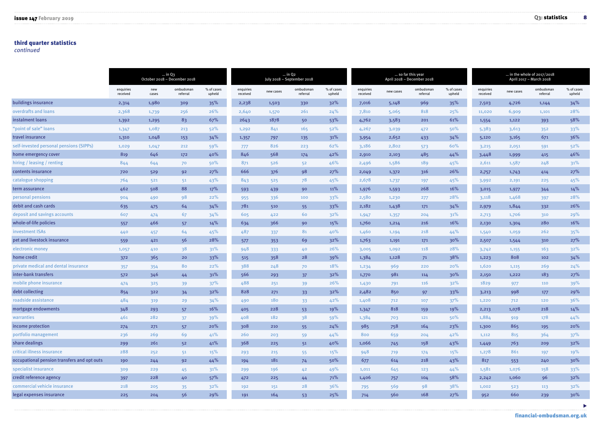#### third quarter statistics

*continued* 

|                                             | $\ldots$ in Q3<br>October 2018 - December 2018 |              |                       |                      |                       |           | $\ldots$ in Q <sub>2</sub><br>July 2018 - September 2018 |                      |                       |           | so far this year<br>April 2018 - December 2018 |                      | in the whole of $2017/2018$<br>April 2017 - March 2018 |           |                       |                      |  |
|---------------------------------------------|------------------------------------------------|--------------|-----------------------|----------------------|-----------------------|-----------|----------------------------------------------------------|----------------------|-----------------------|-----------|------------------------------------------------|----------------------|--------------------------------------------------------|-----------|-----------------------|----------------------|--|
|                                             | enquiries<br>received                          | new<br>cases | ombudsman<br>referral | % of cases<br>upheld | enquiries<br>received | new cases | ombudsman<br>referral                                    | % of cases<br>upheld | enquiries<br>received | new cases | ombudsman<br>referral                          | % of cases<br>upheld | enquiries<br>received                                  | new cases | ombudsman<br>referral | % of cases<br>upheld |  |
| buildings insurance                         | 2,314                                          | 1,980        | 309                   | 35%                  | 2,238                 | 1,503     | 330                                                      | 32%                  | 7,016                 | 5,148     | 969                                            | 35%                  | 7,503                                                  | 4,726     | 1,144                 | 34%                  |  |
| overdrafts and loans                        | 2,368                                          | 1,739        | 256                   | 26%                  | 2,640                 | 1,570     | 261                                                      | 24%                  | 7,810                 | 5,065     | 818                                            | 25%                  | 11,020                                                 | 6,909     | 1,101                 | 28%                  |  |
| instalment loans                            | 1,392                                          | 1,295        | 83                    | 67%                  | 2643                  | 1878      | 50                                                       | 53%                  | 4,762                 | 3,583     | 201                                            | 61%                  | 1,554                                                  | 1,122     | 393                   | 58%                  |  |
| "point of sale" loans                       | 1,347                                          | 1,087        | 213                   | 52%                  | 1,292                 | 841       | 165                                                      | 52%                  | 4,267                 | 3,039     | 472                                            | 50%                  | 5,383                                                  | 3,613     | 352                   | 33%                  |  |
| travel insurance                            | 1,310                                          | 1,048        | 153                   | 34%                  | 1,357                 | 797       | 135                                                      | 31%                  | 3,954                 | 2,652     | 433                                            | 34%                  | 5,120                                                  | 3,165     | 671                   | 36%                  |  |
| self-invested personal pensions (SIPPs)     | 1,029                                          | 1,047        | 212                   | 59%                  | 777                   | 826       | 223                                                      | 62%                  | 3,186                 | 2,802     | 573                                            | 60%                  | 3,215                                                  | 2,051     | 591                   | 52%                  |  |
| home emergency cover                        | 819                                            | 646          | 172                   | 40%                  | 846                   | 568       | 174                                                      | 42%                  | 2,910                 | 2,103     | 485                                            | 44%                  | 3,448                                                  | 1,999     | 415                   | 46%                  |  |
| hiring / leasing / renting                  | 844                                            | 644          | 70                    | 50%                  | 871                   | 526       | 52                                                       | 46%                  | 2,496                 | 1,586     | 189                                            | 45%                  | 2,611                                                  | 1,587     | 248                   | 31%                  |  |
| contents insurance                          | 720                                            | 529          | 92                    | 27%                  | 666                   | 376       | 98                                                       | 27%                  | 2,049                 | 1,372     | 316                                            | 26%                  | 2,757                                                  | 1,743     | 414                   | 27%                  |  |
| catalogue shopping                          | 764                                            | 521          | 5 <sup>1</sup>        | 43%                  | 843                   | 525       | 78                                                       | 45%                  | 2,678                 | 1,737     | 197                                            | 45%                  | 3,992                                                  | 2,191     | 225                   | 45%                  |  |
| term assurance                              | 462                                            | 508          | 88                    | 17%                  | 593                   | 439       | 90                                                       | 11%                  | 1,976                 | 1,593     | 268                                            | 16%                  | 3,015                                                  | 1,977     | 344                   | 14%                  |  |
| personal pensions                           | 904                                            | 490          | 98                    | 22%                  | 955                   | 336       | 100                                                      | 33%                  | 2,580                 | 1,230     | 277                                            | 28%                  | 3,118                                                  | 1,468     | 397                   | 28%                  |  |
| debit and cash cards                        | 635                                            | 475          | 64                    | 34%                  | 781                   | 510       | 55                                                       | 33%                  | 2,182                 | 1,438     | 171                                            | 34%                  | 2,979                                                  | 1,844     | 332                   | 26%                  |  |
| deposit and savings accounts                | 607                                            | 474          | 67                    | 34%                  | 605                   | 422       | 60                                                       | 32%                  | 1,947                 | 1,357     | 204                                            | 31%                  | 2,713                                                  | 1,706     | 310                   | 29%                  |  |
| whole-of-life policies                      | 557                                            | 466          | 57                    | 14%                  | 634                   | 366       | 90                                                       | 15%                  | 1,760                 | 1,214     | 216                                            | 16%                  | 2,130                                                  | 1,304     | 280                   | 16%                  |  |
| investment ISAs                             | 440                                            | 457          | 64                    | 45%                  | 487                   | 337       | 81                                                       | 40%                  | 1,460                 | 1,194     | 218                                            | 44%                  | 1,540                                                  | 1,059     | 262                   | 35%                  |  |
| pet and livestock insurance                 | 559                                            | 421          | 56                    | 28%                  | 577                   | 353       | 69                                                       | 32%                  | 1,763                 | 1,191     | 171                                            | 30%                  | 2,507                                                  | 1,544     | 310                   | 27%                  |  |
| electronic money                            | 1,057                                          | 410          | 38                    | 31%                  | 948                   | 333       | 40                                                       | 26%                  | 3,005                 | 1,092     | 118                                            | 28%                  | 3,742                                                  | 1,155     | 163                   | 32%                  |  |
| home credit                                 | 372                                            | 365          | 20                    | 33%                  | 515                   | 358       | 28                                                       | 39%                  | 1,384                 | 1,128     | 71                                             | 38%                  | 1,223                                                  | 808       | 102                   | 34%                  |  |
| private medical and dental insurance        | 357                                            | 354          | 80                    | 22%                  | 388                   | 248       | 70                                                       | 18%                  | 1,234                 | 969       | 220                                            | 20%                  | 1,620                                                  | 1,115     | 269                   | 24%                  |  |
| inter-bank transfers                        | 572                                            | 346          | 44                    | 31%                  | 566                   | 293       | 37                                                       | 32%                  | 1,770                 | 981       | 114                                            | 30%                  | 2,150                                                  | 1,222     | 183                   | 27%                  |  |
| mobile phone insurance                      | 474                                            | 325          | 39                    | 37%                  | 488                   | 251       | 39                                                       | 26%                  | 1,430                 | 791       | 116                                            | 32%                  | 1829                                                   | 977       | 110                   | 39%                  |  |
| debt collecting                             | 854                                            | 322          | 34                    | 32%                  | 828                   | 271       | 33                                                       | 32%                  | 2,482                 | 850       | 97                                             | 33%                  | 3,213                                                  | 998       | 177                   | 29%                  |  |
| roadside assistance                         | 484                                            | 319          | 29                    | 34%                  | 490                   | 180       | 33 <sup>°</sup>                                          | 42%                  | 1,408                 | 712       | 107                                            | 37%                  | 1,220                                                  | 712       | 120                   | 36%                  |  |
| mortgage endowments                         | 348                                            | 293          | 57                    | 16%                  | 405                   | 228       | 53                                                       | 19%                  | 1,347                 | 818       | 159                                            | 19%                  | 2,213                                                  | 1,078     | 218                   | 14%                  |  |
| warranties                                  | 461                                            | 282          | 37 <sup>2</sup>       | 39%                  | 408                   | 182       | 38                                                       | 59%                  | 1,384                 | 703       | 121                                            | 50%                  | 1,884                                                  | 919       | 178                   | 44%                  |  |
| income protection                           | 274                                            | 271          | 57                    | 20%                  | 308                   | 210       | 55                                                       | 24%                  | 985                   | 758       | 164                                            | 23%                  | 1,300                                                  | 865       | 195                   | 20%                  |  |
| portfolio management                        | 236                                            | 269          | 69                    | 41%                  | 260                   | 203       | 59                                                       | 44%                  | 800                   | 659       | 204                                            | 42%                  | 1,112                                                  | 815       | 364                   | 37%                  |  |
| share dealings                              | 299                                            | 261          | 52                    | 41%                  | 368                   | 225       | 51                                                       | 40%                  | 1,066                 | 745       | 158                                            | 43%                  | 1,449                                                  | 763       | 209                   | 32%                  |  |
| critical illness insurance                  | 288                                            | 252          | 51                    | 15%                  | 293                   | 215       | 55                                                       | 15%                  | 948                   | 719       | 174                                            | 15%                  | 1,278                                                  | 861       | 197                   | 19%                  |  |
| occupational pension transfers and opt outs | 190                                            | 244          | 92                    | 44%                  | 194                   | 181       | 74                                                       | 50%                  | 677                   | 614       | 218                                            | 43%                  | 817                                                    | 553       | 240                   | $30\%$               |  |
| specialist insurance                        | 309                                            | 229          | 45                    | 31%                  | 299                   | 196       | 42                                                       | 49%                  | 1,011                 | 645       | 123                                            | 44%                  | 1,581                                                  | 1,076     | 158                   | 33%                  |  |
| credit reference agency                     | 397                                            | 228          | 40                    | 57%                  | 472                   | 225       | 44                                                       | 71%                  | 1,406                 | 757       | 104                                            | 58%                  | 2,242                                                  | 1,060     | 96                    | 32%                  |  |
| commercial vehicle insurance                | 218                                            | 205          | 35                    | 32%                  | 192                   | 151       | 28                                                       | 36%                  | 795                   | 569       | 98                                             | 38%                  | 1,002                                                  | 523       | 113                   | 32%                  |  |
| legal expenses insurance                    | 225                                            | 204          | 56                    | 29%                  | 191                   | 164       | 53                                                       | 25%                  | 714                   | 560       | 168                                            | 27%                  | 952                                                    | 660       | 239                   | 30%                  |  |

 $\blacktriangleright$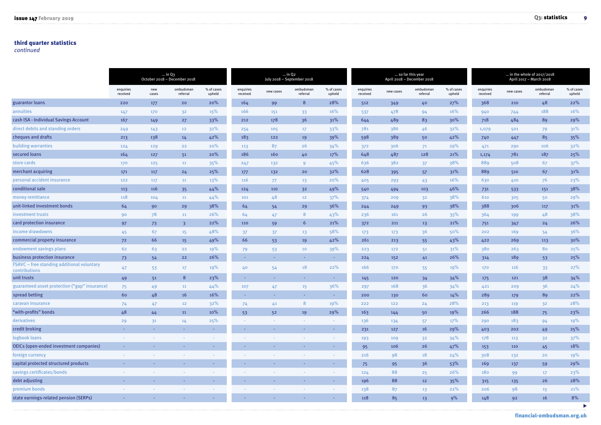#### third quarter statistics

*continued* 

|                                                             |                       |                | $\ldots$ in Q3<br>October 2018 - December 2018 |                      |                       |                | $\ldots$ in Q <sub>2</sub><br>July 2018 - September 2018 |                      |                       |           | so far this year<br>April 2018 - December 2018 |                      | in the whole of $2017/2018$<br>April 2017 - March 2018 |           |                       |                      |  |
|-------------------------------------------------------------|-----------------------|----------------|------------------------------------------------|----------------------|-----------------------|----------------|----------------------------------------------------------|----------------------|-----------------------|-----------|------------------------------------------------|----------------------|--------------------------------------------------------|-----------|-----------------------|----------------------|--|
|                                                             | enquiries<br>received | new<br>cases   | ombudsmar<br>referral                          | % of cases<br>upheld | enquiries<br>received | new cases      | ombudsman<br>referral                                    | % of cases<br>upheld | enquiries<br>received | new cases | ombudsman<br>referral                          | % of cases<br>upheld | enquiries<br>received                                  | new cases | ombudsman<br>referral | % of cases<br>upheld |  |
| guarantor loans                                             | 220                   | 177            | 20                                             | 20%                  | 164                   | 99             | 8                                                        | 28%                  | 512                   | 349       | 40                                             | 27%                  | 368                                                    | 210       | 48                    | 22%                  |  |
| annuities                                                   | 147                   | 170            | 32                                             | 15%                  | 166                   | 151            | 33 <sup>°</sup>                                          | 16%                  | 537                   | 478       | 94                                             | 16%                  | 940                                                    | 744       | 188                   | 16%                  |  |
| cash ISA - Individual Savings Account                       | 167                   | 149            | 27                                             | 33%                  | 212                   | 178            | 36                                                       | 31%                  | 644                   | 489       | 83                                             | 30%                  | 718                                                    | 484       | 89                    | 29%                  |  |
| direct debits and standing orders                           | 249                   | 143            | 12 <sub>2</sub>                                | 32%                  | 254                   | 105            | 17 <sup>17</sup>                                         | 33%                  | 781                   | 386       | 46                                             | 32%                  | 1,079                                                  | 501       | 79                    | 31%                  |  |
| cheques and drafts                                          | 213                   | 138            | 14                                             | 42%                  | 183                   | 122            | 19                                                       | 39%                  | 598                   | 389       | 50                                             | 42%                  | 740                                                    | 447       | 85                    | 35%                  |  |
| building warranties                                         | 124                   | 129            | 22                                             | 20%                  | 113                   | 87             | 26                                                       | 34%                  | 372                   | 306       | 71                                             | 29%                  | 471                                                    | 290       | 106                   | 32%                  |  |
| secured loans                                               | 164                   | 127            | 51                                             | 20%                  | 186                   | 160            | 40                                                       | 17%                  | 648                   | 487       | 128                                            | 21%                  | 1,174                                                  | 781       | 187                   | $25%$                |  |
| store cards                                                 | 170                   | 125            | 11                                             | 35%                  | 247                   | 132            | 9                                                        | 45%                  | 636                   | 382       | 37                                             | 38%                  | 889                                                    | 508       | 67                    | 37%                  |  |
| merchant acquiring                                          | 171                   | 117            | 24                                             | 25%                  | 177                   | 132            | 20                                                       | 32%                  | 628                   | 395       | 57                                             | 31%                  | 889                                                    | 510       | 67                    | 31%                  |  |
| personal accident insurance                                 | 122                   | 117            | 11                                             | 13%                  | 116                   | 77             | 13                                                       | 20%                  | 405                   | 293       | 43                                             | 16%                  | 630                                                    | 410       | 76                    | 23%                  |  |
| conditional sale                                            | 113                   | 116            | 35                                             | 44%                  | 124                   | 110            | 3 <sup>2</sup>                                           | 49%                  | 540                   | 494       | 103                                            | 46%                  | 731                                                    | 533       | 151                   | 38%                  |  |
| money remittance                                            | 118                   | 104            | 11                                             | 44%                  | 101                   | 48             | 12 <sub>2</sub>                                          | 37%                  | 374                   | 209       | 3 <sup>2</sup>                                 | 38%                  | 610                                                    | 305       | 50                    | 29%                  |  |
| unit-linked investment bonds                                | 64                    | 90             | 29                                             | 38%                  | 64                    | 54             | 29                                                       | 36%                  | 244                   | 249       | 93                                             | 38%                  | 388                                                    | 306       | 117                   | 31%                  |  |
| investment trusts                                           | 90                    | 78             | 11                                             | 26%                  | 64                    | 47             | 8                                                        | 43%                  | 236                   | 161       | 26                                             | 35%                  | 364                                                    | 199       | 48                    | 38%                  |  |
| card protection insurance                                   | 97                    | 73             | $\overline{\mathbf{3}}$                        | 22%                  | 110                   | 59             | $6\overline{6}$                                          | 21%                  | 372                   | 211       | 13                                             | 21%                  | 751                                                    | 347       | 24                    | 26%                  |  |
| income drawdowns                                            | 45                    | 67             | 15 <sub>1</sub>                                | 48%                  | 37                    | 37             | 13 <sup>1</sup>                                          | 58%                  | 173                   | 173       | 36                                             | 50%                  | 202                                                    | 169       | 54                    | 36%                  |  |
| commercial property insurance                               | 72                    | 66             | 15                                             | 49%                  | 66                    | 53             | 19                                                       | 42%                  | 261                   | 213       | 55                                             | 43%                  | 422                                                    | 269       | 113                   | 30%                  |  |
| endowment savings plans                                     | 62                    | 63             | 22                                             | 19%                  | 79                    | 53             | 10                                                       | 39%                  | 223                   | 172       | 51                                             | 31%                  | 380                                                    | 263       | 80                    | 25%                  |  |
| business protection insurance                               | 73                    | 54             | 22                                             | 26%                  | <b>COL</b>            | A.             | <b>Section</b>                                           | H.                   | 224                   | 152       | 41                                             | 26%                  | 314                                                    | 189       | 53                    | 25%                  |  |
| FSAVC - free standing additional voluntary<br>contributions | 47                    | 53             | $17 \overline{ }$                              | 19%                  | 40                    | 54             | 18                                                       | 22%                  | 166                   | 170       | 55                                             | 19%                  | 170                                                    | 116       | 33 <sup>°</sup>       | 27%                  |  |
| unit trusts                                                 | 49                    | 5 <sup>1</sup> | 8 <sup>°</sup>                                 | 23%                  | <b>COL</b>            | A.             | <b>Section</b>                                           | $\sim$               | 145                   | 120       | 34                                             | 34%                  | 175                                                    | 121       | 38                    | 34%                  |  |
| guaranteed asset protection ("gap" insurance)               | 75                    | 49             | 11                                             | 44%                  | 107                   | 47             | 15 <sub>1</sub>                                          | 36%                  | 297                   | 168       | 36                                             | 34%                  | 421                                                    | 209       | 36                    | 24%                  |  |
| spread betting                                              | 60                    | 48             | 16                                             | 16%                  | - 1                   | <b>Service</b> | <b>Contract</b>                                          | $\sim$               | 200                   | 130       | 60                                             | 14%                  | 289                                                    | 179       | 89                    | 22%                  |  |
| caravan insurance                                           | 74                    | 47             | 12                                             | 32%                  | 74                    | 41             | 8                                                        | 19%                  | 222                   | 122       | 24                                             | 28%                  | 213                                                    | 119       | 3 <sup>2</sup>        | 28%                  |  |
| "with-profits" bonds                                        | 48                    | 44             | 11                                             | 10%                  | 53                    | 5 <sup>2</sup> | 19                                                       | 29%                  | 163                   | 144       | 50                                             | 19%                  | 266                                                    | 188       | 75                    | 23%                  |  |
| derivatives                                                 | 29                    | 3 <sup>1</sup> | 14                                             | 25%                  |                       |                |                                                          |                      | 136                   | 134       | 57                                             | 17%                  | 290                                                    | 183       | 94                    | 19%                  |  |
| credit broking                                              |                       |                |                                                | A.                   | <b>A</b>              |                |                                                          |                      | 231                   | 127       | 16                                             | 29%                  | 403                                                    | 202       | 49                    | 25%                  |  |
| logbook loans                                               |                       |                |                                                | $\sim$               |                       |                |                                                          |                      | 193                   | 109       | 32                                             | 34%                  | 178                                                    | 113       | 32 <sub>2</sub>       | 37%                  |  |
| OEICs (open-ended investment companies)                     |                       |                |                                                |                      |                       |                |                                                          | ÷                    | 95                    | 106       | 26                                             | 47%                  | 153                                                    | 110       | 45                    | 18%                  |  |
| foreign currency                                            |                       |                |                                                |                      |                       |                |                                                          |                      | 216                   | 98        | 18                                             | 24%                  | 308                                                    | 132       | 20                    | 19%                  |  |
| capital protected structured products                       |                       |                |                                                | <b>COL</b>           | $\sim$                |                |                                                          | $\sim$               | 75                    | 95        | 36                                             | 53%                  | 169                                                    | 137       | 59                    | 29%                  |  |
| savings certificates/bonds                                  |                       |                |                                                |                      |                       |                |                                                          |                      | 124                   | 88        | 25                                             | 26%                  | 180                                                    | 99        | 17 <sup>17</sup>      | 23%                  |  |
| debt adjusting                                              |                       |                |                                                |                      | car.                  |                |                                                          |                      | 196                   | 88        | 12                                             | 35%                  | 315                                                    | 135       | 26                    | 28%                  |  |
| premium bonds                                               |                       |                |                                                |                      |                       |                |                                                          |                      | 138                   | 87        | 13 <sup>°</sup>                                | 22%                  | 206                                                    | 98        | 15 <sub>1</sub>       | 21%                  |  |
| state earnings-related pension (SERPs)                      |                       |                |                                                |                      |                       |                |                                                          |                      | 118                   | 85        | 13                                             | 9%                   | 148                                                    | 92        | 16                    | 8%<br>Þ              |  |

[financial-ombudsman.org.uk](https://www.financial-ombudsman.org.uk/)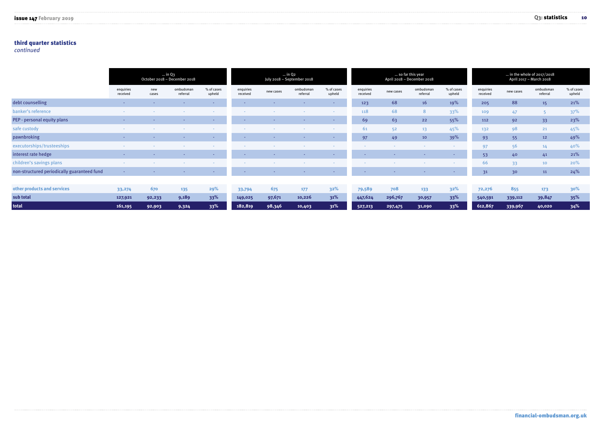#### third quarter statistics

*continued* 

|                                             | $\ldots$ in Q3<br>October 2018 - December 2018 |                 |                       |                      |                          |                 | $\ldots$ in Q <sub>2</sub><br>July 2018 - September 2018 |                      |                       |           | so far this year<br>April 2018 - December 2018 |                      | in the whole of 2017/2018<br>April 2017 - March 2018 |           |                       |                      |  |
|---------------------------------------------|------------------------------------------------|-----------------|-----------------------|----------------------|--------------------------|-----------------|----------------------------------------------------------|----------------------|-----------------------|-----------|------------------------------------------------|----------------------|------------------------------------------------------|-----------|-----------------------|----------------------|--|
|                                             | enquiries<br>received                          | new<br>cases    | ombudsman<br>referral | % of cases<br>upheld | enquiries<br>received    | new cases       | ombudsman<br>referral                                    | % of cases<br>upheld | enquiries<br>received | new cases | ombudsman<br>referral                          | % of cases<br>upheld | enquiries<br>received                                | new cases | ombudsman<br>referral | % of cases<br>upheld |  |
| debt counselling                            | <b>Security</b>                                | $\sim$          |                       | <b>Security</b>      | $\sim$                   | $\sim$          |                                                          | $\sim$               | 123                   | 68        | 16                                             | 19%                  | 205                                                  | 88        | 15 <sub>1</sub>       | 21%                  |  |
| banker's reference                          | . .                                            |                 |                       | . .                  | <b>COLOR</b>             |                 |                                                          | <b>COL</b>           | 118                   | 68        | 8                                              | 33%                  | 109                                                  | 47        |                       | 37%                  |  |
| PEP - personal equity plans                 | <b>CONTINUES</b>                               | <b>COLLEGE</b>  |                       | <b>Contract</b>      | <b>COL</b>               | <b>Security</b> | $\sim$                                                   | <b>COL</b>           | 69                    | 63        | 22                                             | 55%                  | 112                                                  | 92        | 33 <sup>°</sup>       | 23%                  |  |
| safe custody                                |                                                |                 |                       | $\sim$               | $\sim$                   |                 |                                                          |                      | 61                    | 52        | 13 <sup>13</sup>                               | 45%                  | 132                                                  | 98        | 21                    | 45%                  |  |
| pawnbroking                                 | <b>Contract</b>                                | <b>Security</b> | <b>Security</b>       | <b>Contract</b>      | <b>CONTRACT</b>          | <b>Security</b> |                                                          |                      | 97                    | 49        | 10                                             | 39%                  | 93                                                   | 55        | 12                    | 49%                  |  |
| executorships/trusteeships                  |                                                |                 |                       |                      |                          |                 |                                                          |                      |                       |           | $\sim$                                         | <b>Service</b>       | 97                                                   | 56        | 14 <sub>1</sub>       | 40%                  |  |
| interest rate hedge                         | <b>Security</b>                                | <b>CONTRACT</b> |                       | <b>Contract</b>      | $\overline{\phantom{a}}$ | <b>COL</b>      | $\sim$                                                   | . .                  | <b>CONTRACT</b>       |           | $\sim$                                         | <b>Service</b>       | 53                                                   | 40        | 41                    | 21%                  |  |
| children's savings plans                    |                                                |                 |                       | $\sim$               |                          |                 |                                                          |                      |                       |           |                                                | <b>Service</b>       | 66                                                   | 33        | 10                    | 20%                  |  |
| non-structured periodically guaranteed fund | $\sim$                                         |                 |                       | <b>Security</b>      | - -                      | <b>Contract</b> | <b>CONTRACTOR</b>                                        | $\sim$               | <b>CONTRACT</b>       |           | $\sim$                                         | <b>Contract</b>      | 31                                                   | 30        | 11                    | 24%                  |  |
|                                             |                                                |                 |                       |                      |                          |                 |                                                          |                      |                       |           |                                                |                      |                                                      |           |                       |                      |  |

| other products and services | 33,274  | 670    | 135   | 29% | 33,794                    | 675    | 177    | 32%    | 79,589                       | 708     | 133    | $32\%$ | 72,276  | 855                               |            |  |
|-----------------------------|---------|--------|-------|-----|---------------------------|--------|--------|--------|------------------------------|---------|--------|--------|---------|-----------------------------------|------------|--|
| sub total                   | 127,921 | 92,233 | 9,189 | 33% | 149,025                   | 97,671 | 10,226 | $31\%$ | 447,624                      | 296,767 | 30,957 | $33\%$ | 540,591 | 339,112                           | 39,847 35% |  |
| total                       | 161,195 | 92,903 | 9,324 |     | 33% 182,819 98,346 10,403 |        |        |        | <b>1231%</b> 527,213 297,475 |         | 31,090 |        |         | $33\%$ 612,867 339,967 40,020 34% |            |  |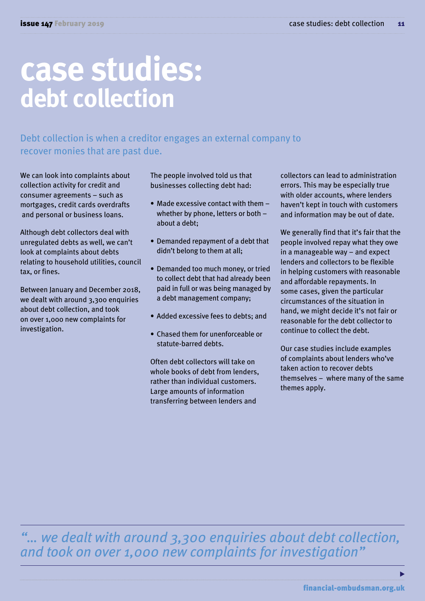## **case studies: debt collection**

Debt collection is when a creditor engages an external company to recover monies that are past due.

We can look into complaints about collection activity for credit and consumer agreements – such as mortgages, credit cards overdrafts and personal or business loans.

Although debt collectors deal with unregulated debts as well, we can't look at complaints about debts relating to household utilities, council tax, or fines.

Between January and December 2018, we dealt with around 3,300 enquiries about debt collection, and took on over 1,000 new complaints for investigation.

The people involved told us that businesses collecting debt had:

- Made excessive contact with them whether by phone, letters or both – about a debt;
- Demanded repayment of a debt that didn't belong to them at all;
- Demanded too much money, or tried to collect debt that had already been paid in full or was being managed by a debt management company;
- Added excessive fees to debts; and
- Chased them for unenforceable or statute-barred debts.

Often debt collectors will take on whole books of debt from lenders, rather than individual customers. Large amounts of information transferring between lenders and

collectors can lead to administration errors. This may be especially true with older accounts, where lenders haven't kept in touch with customers and information may be out of date.

We generally find that it's fair that the people involved repay what they owe in a manageable way – and expect lenders and collectors to be flexible in helping customers with reasonable and affordable repayments. In some cases, given the particular circumstances of the situation in hand, we might decide it's not fair or reasonable for the debt collector to continue to collect the debt.

Our case studies include examples of complaints about lenders who've taken action to recover debts themselves – where many of the same themes apply.

*"… we dealt with around 3,300 enquiries about debt collection, and took on over 1,000 new complaints for investigation"* 

ь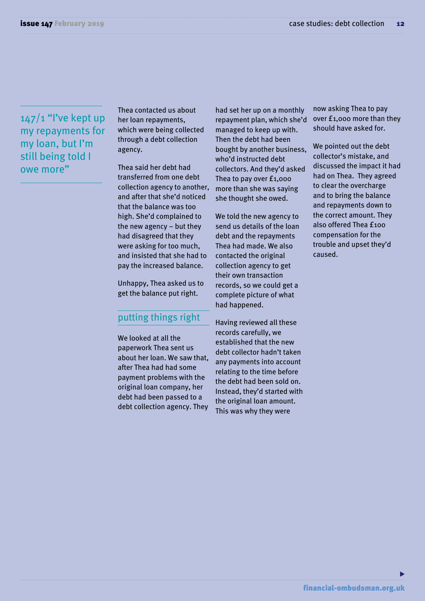#### $147/1$  "I've kept up my repayments for my loan, but I'm still being told I owe more"

Thea contacted us about her loan repayments, which were being collected through a debt collection agency.

Thea said her debt had transferred from one debt collection agency to another, and after that she'd noticed that the balance was too high. She'd complained to the new agency – but they had disagreed that they were asking for too much, and insisted that she had to pay the increased balance.

Unhappy, Thea asked us to get the balance put right.

#### putting things right

We looked at all the paperwork Thea sent us about her loan. We saw that, after Thea had had some payment problems with the original loan company, her debt had been passed to a debt collection agency. They had set her up on a monthly repayment plan, which she'd managed to keep up with. Then the debt had been bought by another business, who'd instructed debt collectors. And they'd asked Thea to pay over £1,000 more than she was saying she thought she owed.

We told the new agency to send us details of the loan debt and the repayments Thea had made. We also contacted the original collection agency to get their own transaction records, so we could get a complete picture of what had happened.

Having reviewed all these records carefully, we established that the new debt collector hadn't taken any payments into account relating to the time before the debt had been sold on. Instead, they'd started with the original loan amount. This was why they were

now asking Thea to pay over £1,000 more than they should have asked for.

We pointed out the debt collector's mistake, and discussed the impact it had had on Thea. They agreed to clear the overcharge and to bring the balance and repayments down to the correct amount. They also offered Thea £100 compensation for the trouble and upset they'd caused.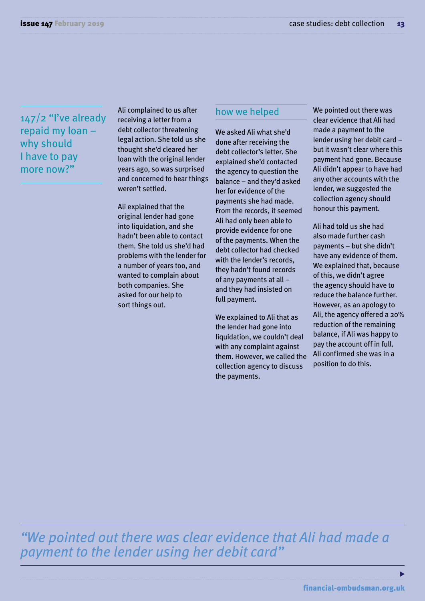147/2 "I've already repaid my loan – why should I have to pay more now?"

Ali complained to us after receiving a letter from a debt collector threatening legal action. She told us she thought she'd cleared her loan with the original lender years ago, so was surprised and concerned to hear things weren't settled.

Ali explained that the original lender had gone into liquidation, and she hadn't been able to contact them. She told us she'd had problems with the lender for a number of years too, and wanted to complain about both companies. She asked for our help to sort things out.

#### how we helped

We asked Ali what she'd done after receiving the debt collector's letter. She explained she'd contacted the agency to question the balance – and they'd asked her for evidence of the payments she had made. From the records, it seemed Ali had only been able to provide evidence for one of the payments. When the debt collector had checked with the lender's records, they hadn't found records of any payments at all – and they had insisted on full payment.

We explained to Ali that as the lender had gone into liquidation, we couldn't deal with any complaint against them. However, we called the collection agency to discuss the payments.

We pointed out there was clear evidence that Ali had made a payment to the lender using her debit card – but it wasn't clear where this payment had gone. Because Ali didn't appear to have had any other accounts with the lender, we suggested the collection agency should honour this payment.

Ali had told us she had also made further cash payments – but she didn't have any evidence of them. We explained that, because of this, we didn't agree the agency should have to reduce the balance further. However, as an apology to Ali, the agency offered a 20% reduction of the remaining balance, if Ali was happy to pay the account off in full. Ali confirmed she was in a position to do this.

*"We pointed out there was clear evidence that Ali had made a payment to the lender using her debit card"*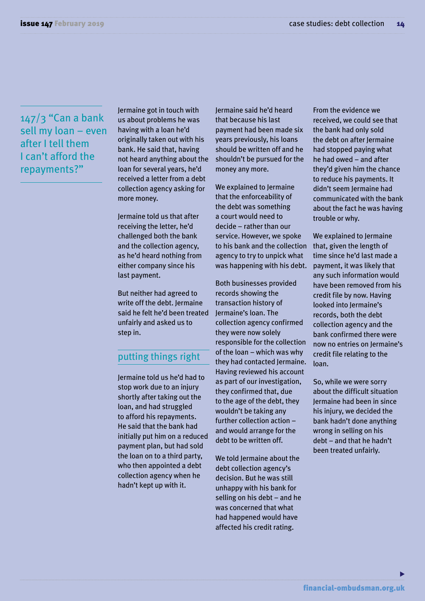#### $147/3$  "Can a bank sell my loan – even after I tell them I can't afford the repayments?"

Jermaine got in touch with us about problems he was having with a loan he'd originally taken out with his bank. He said that, having not heard anything about the loan for several years, he'd received a letter from a debt collection agency asking for more money.

Jermaine told us that after receiving the letter, he'd challenged both the bank and the collection agency, as he'd heard nothing from either company since his last payment.

But neither had agreed to write off the debt. Jermaine said he felt he'd been treated unfairly and asked us to step in.

#### putting things right

Jermaine told us he'd had to stop work due to an injury shortly after taking out the loan, and had struggled to afford his repayments. He said that the bank had initially put him on a reduced payment plan, but had sold the loan on to a third party, who then appointed a debt collection agency when he hadn't kept up with it.

Jermaine said he'd heard that because his last payment had been made six years previously, his loans should be written off and he shouldn't be pursued for the money any more.

We explained to Jermaine that the enforceability of the debt was something a court would need to decide – rather than our service. However, we spoke to his bank and the collection agency to try to unpick what was happening with his debt.

Both businesses provided records showing the transaction history of Jermaine's loan. The collection agency confirmed they were now solely responsible for the collection of the loan – which was why they had contacted Jermaine. Having reviewed his account as part of our investigation, they confirmed that, due to the age of the debt, they wouldn't be taking any further collection action– and would arrange for the debt to be written off.

We told Jermaine about the debt collection agency's decision. But he was still unhappy with his bank for selling on his debt – and he was concerned that what had happened would have affected his credit rating.

From the evidence we received, we could see that the bank had only sold the debt on after Jermaine had stopped paying what he had owed – and after they'd given him the chance to reduce his payments. It didn't seem Jermaine had communicated with the bank about the fact he was having trouble or why.

We explained to Jermaine that, given the length of time since he'd last made a payment, it was likely that any such information would have been removed from his credit file by now. Having looked into Jermaine's records, both the debt collection agency and the bank confirmed there were now no entries on Jermaine's credit file relating to the loan.

So, while we were sorry about the difficult situation Jermaine had been in since his injury, we decided the bank hadn't done anything wrong in selling on his debt – and that he hadn't been treated unfairly.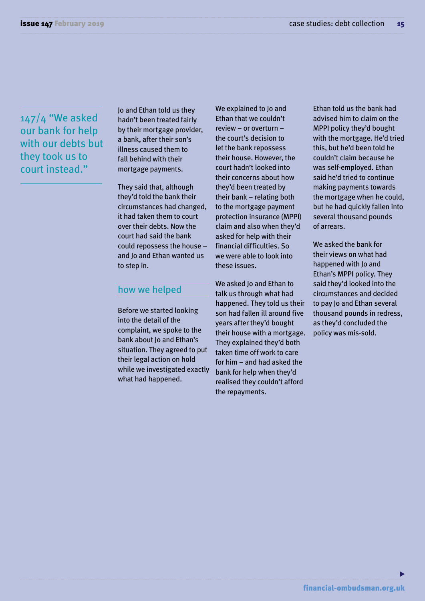#### 147/4 "We asked our bank for help with our debts but they took us to court instead."

Jo and Ethan told us they hadn't been treated fairly by their mortgage provider, a bank, after their son's illness caused them to fall behind with their mortgage payments.

They said that, although they'd told the bank their circumstances had changed, it had taken them to court over their debts. Now the court had said the bank could repossess the house – and Jo and Ethan wanted us to step in.

#### how we helped

Before we started looking into the detail of the complaint, we spoke to the bank about Jo and Ethan's situation. They agreed to put their legal action on hold while we investigated exactly what had happened.

We explained to Jo and Ethan that we couldn't review – or overturn – the court's decision to let the bank repossess their house. However, the court hadn't looked into their concerns about how they'd been treated by their bank – relating both to the mortgage payment protection insurance (MPPI) claim and also when they'd asked for help with their financial difficulties. So we were able to look into these issues.

We asked Jo and Ethan to talk us through what had happened. They told us their son had fallen ill around five years after they'd bought their house with a mortgage. They explained they'd both taken time off work to care for him – and had asked the bank for help when they'd realised they couldn't afford the repayments.

Ethan told us the bank had advised him to claim on the MPPI policy they'd bought with the mortgage. He'd tried this, but he'd been told he couldn't claim because he was self-employed. Ethan said he'd tried to continue making payments towards the mortgage when he could, but he had quickly fallen into several thousand pounds of arrears.

We asked the bank for their views on what had happened with Jo and Ethan's MPPI policy. They said they'd looked into the circumstances and decided to pay Jo and Ethan several thousand pounds in redress, as they'd concluded the policy was mis-sold.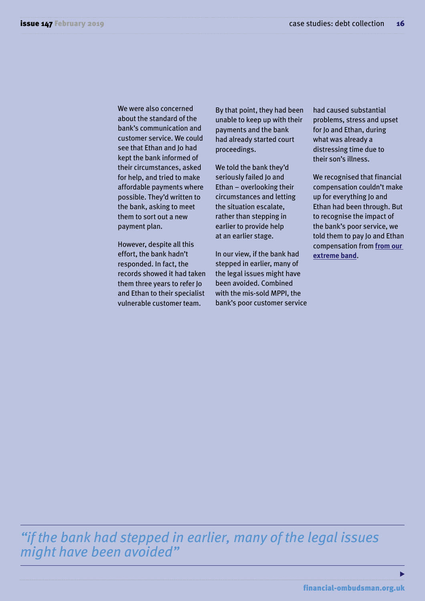We were also concerned about the standard of the bank's communication and customer service. We could see that Ethan and Jo had kept the bank informed of their circumstances, asked for help, and tried to make affordable payments where possible. They'd written to the bank, asking to meet them to sort out a new payment plan.

However, despite all this effort, the bank hadn't responded. In fact, the records showed it had taken them three years to refer Jo and Ethan to their specialist vulnerable customer team.

By that point, they had been unable to keep up with their payments and the bank had already started court proceedings.

We told the bank they'd seriously failed Jo and Ethan – overlooking their circumstances and letting the situation escalate, rather than stepping in earlier to provide help at an earlier stage.

In our view, if the bank had stepped in earlier, many of the legal issues might have been avoided. Combined with the mis-sold MPPI, the bank's poor customer service had caused substantial problems, stress and upset for Jo and Ethan, during what was already a distressing time due to their son's illness.

We recognised that financial compensation couldn't make up for everything Jo and Ethan had been through. But to recognise the impact of the bank's poor service, we told them to pay Jo and Ethan compensation from **[from our](https://www.financial-ombudsman.org.uk/publications/technical_notes/non-financial-loss-compensation.html#)  [extreme band](https://www.financial-ombudsman.org.uk/publications/technical_notes/non-financial-loss-compensation.html#)**.

*"if the bank had stepped in earlier, many of the legal issues might have been avoided"* 

ь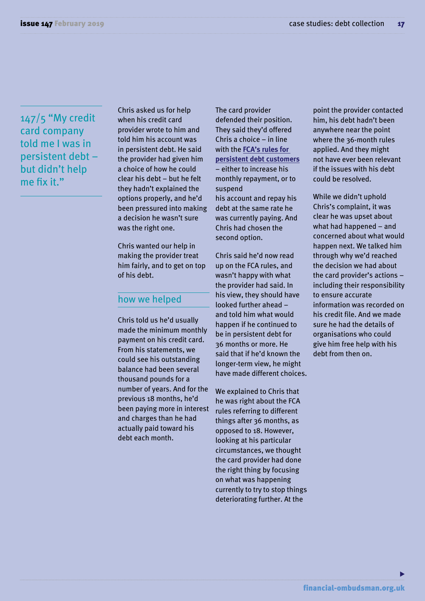147/5 "My credit card company told me I was in persistent debt – but didn't help me fix it."

Chris asked us for help when his credit card provider wrote to him and told him his account was in persistent debt. He said the provider had given him a choice of how he could clear his debt – but he felt they hadn't explained the options properly, and he'd been pressured into making a decision he wasn't sure was the right one.

Chris wanted our help in making the provider treat him fairly, and to get on top of his debt.

#### how we helped

Chris told us he'd usually made the minimum monthly payment on his credit card. From his statements, we could see his outstanding balance had been several thousand pounds for a number of years. And for the previous 18 months, he'd been paying more in interest and charges than he had actually paid toward his debt each month.

The card provider defended their position. They said they'd offered Chris a choice – in line with the **[FCA's rules for](https://www.fca.org.uk/publications/policy-statements/ps18-04-credit-card-market-study)  [persistent debt customers](https://www.fca.org.uk/publications/policy-statements/ps18-04-credit-card-market-study)**  – either to increase his monthly repayment, or to suspend

his account and repay his debt at the same rate he was currently paying. And Chris had chosen the second option.

Chris said he'd now read up on the FCA rules, and wasn't happy with what the provider had said. In his view, they should have looked further ahead – and told him what would happen if he continued to be in persistent debt for 36 months or more. He said that if he'd known the longer-term view, he might have made different choices.

We explained to Chris that he was right about the FCA rules referring to different things after 36 months, as opposed to 18. However, looking at his particular circumstances, we thought the card provider had done the right thing by focusing on what was happening currently to try to stop things deteriorating further. At the

point the provider contacted him, his debt hadn't been anywhere near the point where the 36-month rules applied. And they might not have ever been relevant if the issues with his debt could be resolved.

While we didn't uphold Chris's complaint, it was clear he was upset about what had happened – and concerned about what would happen next. We talked him through why we'd reached the decision we had about the card provider's actions – including their responsibility to ensure accurate information was recorded on his credit file. And we made sure he had the details of organisations who could give him free help with his debt from then on.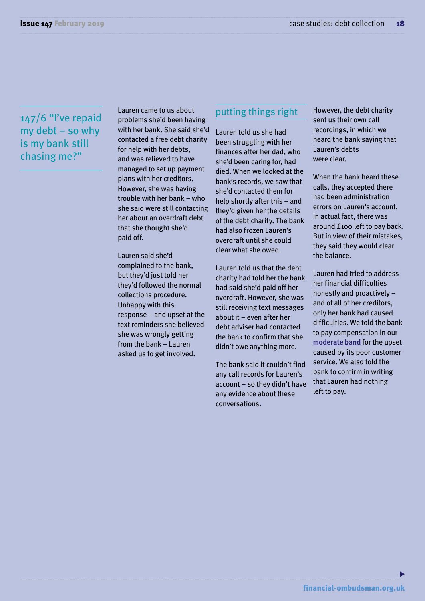#### 147/6 "I've repaid my debt – so why is my bank still chasing me?"

Lauren came to us about problems she'd been having with her bank. She said she'd contacted a free debt charity for help with her debts, and was relieved to have managed to set up payment plans with her creditors. However, she was having trouble with her bank – who she said were still contacting her about an overdraft debt that she thought she'd paid off.

Lauren said she'd complained to the bank, but they'd just told her they'd followed the normal collections procedure. Unhappy with this response – and upset at the text reminders she believed she was wrongly getting from the bank – Lauren asked us to get involved.

#### putting things right

Lauren told us she had been struggling with her finances after her dad, who she'd been caring for, had died. When we looked at the bank's records, we saw that she'd contacted them for help shortly after this – and they'd given her the details of the debt charity. The bank had also frozen Lauren's overdraft until she could clear what she owed.

Lauren told us that the debt charity had told her the bank had said she'd paid off her overdraft. However, she was still receiving text messages about it – even after her debt adviser had contacted the bank to confirm that she didn't owe anything more.

The bank said it couldn't find any call records for Lauren's account – so they didn't have any evidence about these conversations.

However, the debt charity sent us their own call recordings, in which we heard the bank saying that Lauren's debts were clear.

When the bank heard these calls, they accepted there had been administration errors 0n Lauren's account. In actual fact, there was around £100 left to pay back. But in view of their mistakes, they said they would clear the balance.

Lauren had tried to address her financial difficulties honestly and proactively – and of all of her creditors, only her bank had caused difficulties. We told the bank to pay compensation in our **[moderate band](https://www.financial-ombudsman.org.uk/publications/technical_notes/non-financial-loss-compensation.html#)** for the upset caused by its poor customer service. We also told the bank to confirm in writing that Lauren had nothing left to pay.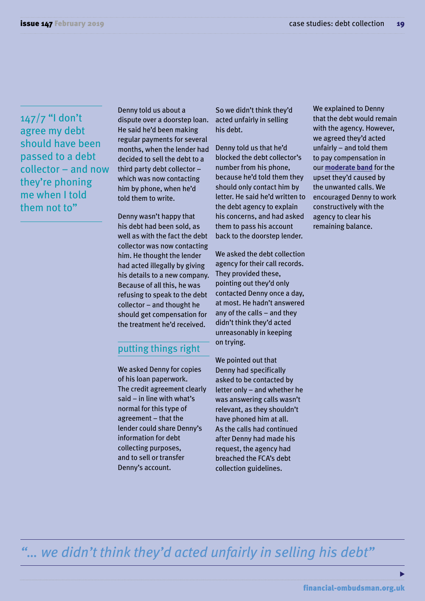147/7 "I don't agree my debt should have been passed to a debt collector – and now they're phoning me when I told them not to"

Denny told us about a dispute over a doorstep loan. He said he'd been making regular payments for several months, when the lender had decided to sell the debt to a third party debt collector – which was now contacting him by phone, when he'd told them to write.

Denny wasn't happy that his debt had been sold, as well as with the fact the debt collector was now contacting him. He thought the lender had acted illegally by giving his details to a new company. Because of all this, he was refusing to speak to the debt collector – and thought he should get compensation for the treatment he'd received.

#### putting things right

We asked Denny for copies of his loan paperwork. The credit agreement clearly said – in line with what's normal for this type of agreement – that the lender could share Denny's information for debt collecting purposes, and to sell or transfer Denny's account.

So we didn't think they'd acted unfairly in selling his debt.

Denny told us that he'd blocked the debt collector's number from his phone, because he'd told them they should only contact him by letter. He said he'd written to the debt agency to explain his concerns, and had asked them to pass his account back to the doorstep lender.

We asked the debt collection agency for their call records. They provided these, pointing out they'd only contacted Denny once a day, at most. He hadn't answered any of the calls – and they didn't think they'd acted unreasonably in keeping on trying.

We pointed out that Denny had specifically asked to be contacted by letter only – and whether he was answering calls wasn't relevant, as they shouldn't have phoned him at all. As the calls had continued after Denny had made his request, the agency had breached the FCA's debt collection guidelines.

We explained to Denny that the debt would remain with the agency. However, we agreed they'd acted unfairly  $-$  and told them to pay compensation in our **[moderate band](https://www.financial-ombudsman.org.uk/publications/technical_notes/non-financial-loss-compensation.html#)** for the upset they'd caused by the unwanted calls. We encouraged Denny to work constructively with the agency to clear his remaining balance.

*"… we didn't think they'd acted unfairly in selling his debt"*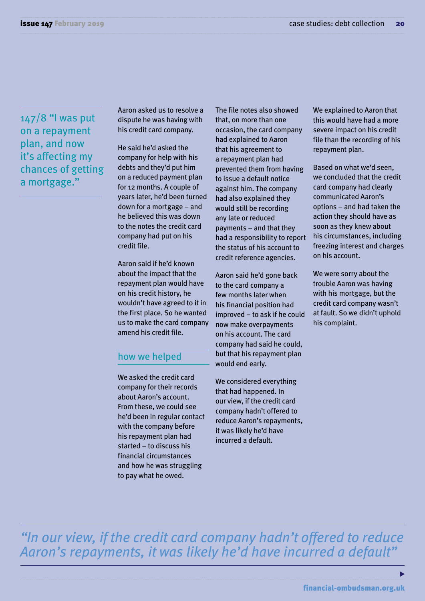147/8 "I was put on a repayment plan, and now it's affecting my chances of getting a mortgage."

Aaron asked us to resolve a dispute he was having with his credit card company.

He said he'd asked the company for help with his debts and they'd put him on a reduced payment plan for 12 months. A couple of years later, he'd been turned down for a mortgage – and he believed this was down to the notes the credit card company had put on his credit file.

Aaron said if he'd known about the impact that the repayment plan would have on his credit history, he wouldn't have agreed to it in the first place. So he wanted us to make the card company amend his credit file.

#### how we helped

We asked the credit card company for their records about Aaron's account. From these, we could see he'd been in regular contact with the company before his repayment plan had started – to discuss his financial circumstances and how he was struggling to pay what he owed.

The file notes also showed that, on more than one occasion, the card company had explained to Aaron that his agreement to a repayment plan had prevented them from having to issue a default notice against him. The company had also explained they would still be recording any late or reduced payments – and that they had a responsibility to report the status of his account to credit reference agencies.

Aaron said he'd gone back to the card company a few months later when his financial position had improved – to ask if he could now make overpayments on his account. The card company had said he could, but that his repayment plan would end early.

We considered everything that had happened. In our view, if the credit card company hadn't offered to reduce Aaron's repayments, it was likely he'd have incurred a default.

We explained to Aaron that this would have had a more severe impact on his credit file than the recording of his repayment plan.

Based on what we'd seen, we concluded that the credit card company had clearly communicated Aaron's options – and had taken the action they should have as soon as they knew about his circumstances, including freezing interest and charges on his account.

We were sorry about the trouble Aaron was having with his mortgage, but the credit card company wasn't at fault. So we didn't uphold his complaint.

*"In our view, if the credit card company hadn't offered to reduce Aaron's repayments, it was likely he'd have incurred a default"*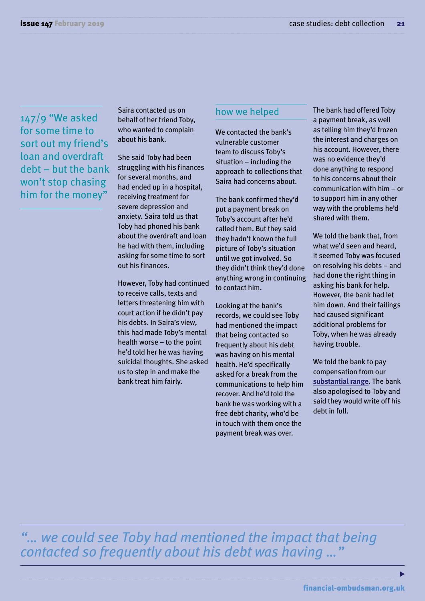147/9 "We asked for some time to sort out my friend's loan and overdraft debt – but the bank won't stop chasing him for the money"

Saira contacted us on behalf of her friend Toby, who wanted to complain about his bank.

She said Toby had been struggling with his finances for several months, and had ended up in a hospital, receiving treatment for severe depression and anxiety. Saira told us that Toby had phoned his bank about the overdraft and loan he had with them, including asking for some time to sort out his finances.

However, Toby had continued to receive calls, texts and letters threatening him with court action if he didn't pay his debts. In Saira's view, this had made Toby's mental health worse – to the point he'd told her he was having suicidal thoughts. She asked us to step in and make the bank treat him fairly.

#### how we helped

We contacted the bank's vulnerable customer team to discuss Toby's situation  $-$  including the approach to collections that Saira had concerns about.

The bank confirmed they'd put a payment break on Toby's account after he'd called them. But they said they hadn't known the full picture of Toby's situation until we got involved. So they didn't think they'd done anything wrong in continuing to contact him.

Looking at the bank's records, we could see Toby had mentioned the impact that being contacted so frequently about his debt was having on his mental health. He'd specifically asked for a break from the communications to help him recover. And he'd told the bank he was working with a free debt charity, who'd be in touch with them once the payment break was over.

The bank had offered Toby a payment break, as well as telling him they'd frozen the interest and charges on his account. However, there was no evidence they'd done anything to respond to his concerns about their communication with him – or to support him in any other way with the problems he'd shared with them.

We told the bank that, from what we'd seen and heard, it seemed Toby was focused on resolving his debts – and had done the right thing in asking his bank for help. However, the bank had let him down. And their failings had caused significant additional problems for Toby, when he was already having trouble.

We told the bank to pay compensation from our **[substantial range](https://www.financial-ombudsman.org.uk/publications/technical_notes/non-financial-loss-compensation.html#)**. The bank also apologised to Toby and said they would write off his debt in full.

*"… we could see Toby had mentioned the impact that being contacted so frequently about his debt was having …"*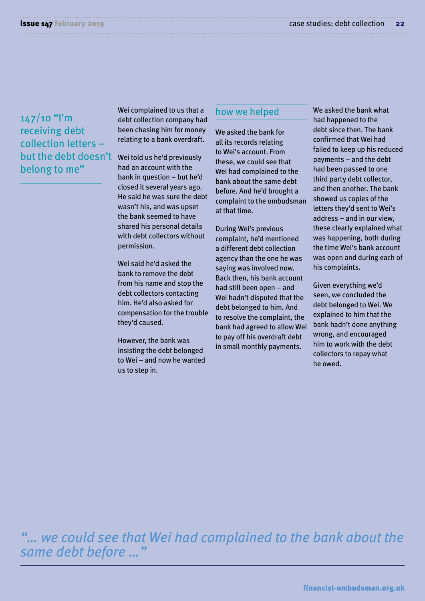$147/10$  "l'm receiving debt collection letters – but the debt doesn't belong to me"

Wei complained to us that a debt collection company had been chasing him for money relating to a bank overdraft.

Wei told us he'd previously had an account with the bank in question – but he'd closed it several years ago. He said he was sure the debt wasn't his, and was upset the bank seemed to have shared his personal details with debt collectors without permission.

Wei said he'd asked the bank to remove the debt from his name and stop the debt collectors contacting him. He'd also asked for compensation for the trouble they'd caused.

However, the bank was insisting the debt belonged to Wei – and now he wanted us to step in.

#### how we helped

We asked the bank for all its records relating to Wei's account. From these, we could see that Wei had complained to the bank about the same debt before. And he'd brought a complaint to the ombudsman at that time.

During Wei's previous complaint, he'd mentioned a different debt collection agency than the one he was saying was involved now. Back then, his bank account had still been open – and Wei hadn't disputed that the debt belonged to him. And to resolve the complaint, the bank had agreed to allow Wei to pay off his overdraft debt in small monthly payments.

We asked the bank what had happened to the debt since then. The bank confirmed that Wei had failed to keep up his reduced payments – and the debt had been passed to one third party debt collector, and then another. The bank showed us copies of the letters they'd sent to Wei's address – and in our view, these clearly explained what was happening, both during the time Wei's bank account was open and during each of his complaints.

Given everything we'd seen, we concluded the debt belonged to Wei. We explained to him that the bank hadn't done anything wrong, and encouraged him to work with the debt collectors to repay what he owed.

*"… we could see that Wei had complained to the bank about the same debt before …"*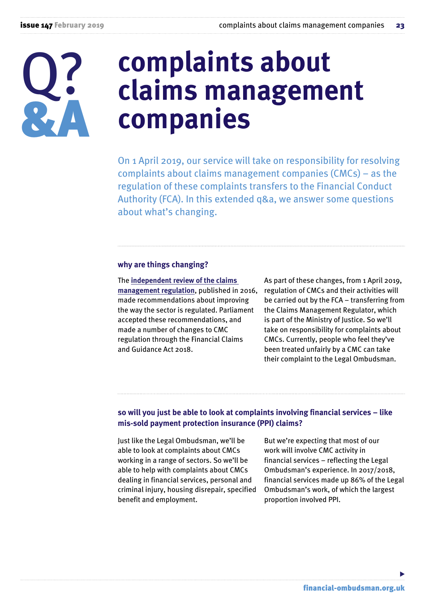

## **complaints about claims management companies**

On 1 April 2019, our service will take on responsibility for resolving complaints about claims management companies (CMCs) – as the regulation of these complaints transfers to the Financial Conduct Authority (FCA). In this extended q&a, we answer some questions about what's changing.

#### **why are things changing?**

The **[independent review of the claims](https://www.gov.uk/government/publications/claims-management-regulation-review-final-report)  [management regulation](https://www.gov.uk/government/publications/claims-management-regulation-review-final-report)**, published in 2016, made recommendations about improving the way the sector is regulated. Parliament accepted these recommendations, and made a number of changes to CMC regulation through the Financial Claims and Guidance Act 2018.

As part of these changes, from 1 April 2019, regulation of CMCs and their activities will be carried out by the FCA – transferring from the Claims Management Regulator, which is part of the Ministry of Justice. So we'll take on responsibility for complaints about CMCs. Currently, people who feel they've been treated unfairly by a CMC can take their complaint to the Legal Ombudsman.

#### **so will you just be able to look at complaints involving financial services – like mis-sold payment protection insurance (PPI) claims?**

Just like the Legal Ombudsman, we'll be able to look at complaints about CMCs working in a range of sectors. So we'll be able to help with complaints about CMCs dealing in financial services, personal and criminal injury, housing disrepair, specified benefit and employment.

But we're expecting that most of our work will involve CMC activity in financial services – reflecting the Legal Ombudsman's experience. In 2017/2018, financial services made up 86% of the Legal Ombudsman's work, of which the largest proportion involved PPI.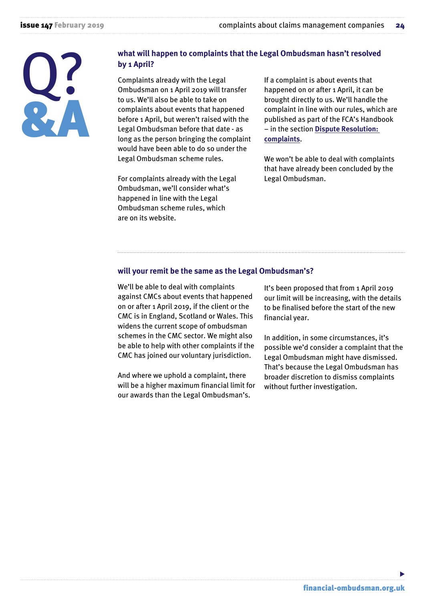

#### **what will happen to complaints that the Legal Ombudsman hasn't resolved by 1 April?**

Complaints already with the Legal Ombudsman on 1 April 2019 will transfer to us. We'll also be able to take on complaints about events that happened before 1 April, but weren't raised with the Legal Ombudsman before that date - as long as the person bringing the complaint would have been able to do so under the Legal Ombudsman scheme rules.

For complaints already with the Legal Ombudsman, we'll consider what's happened in line with the Legal Ombudsman scheme rules, which are on its website.

If a complaint is about events that happened on or after 1 April, it can be brought directly to us. We'll handle the complaint in line with our rules, which are published as part of the FCA's Handbook – in the section **[Dispute Resolution:](https://www.handbook.fca.org.uk/handbook/DISP/1/3.html) [complaints](https://www.handbook.fca.org.uk/handbook/DISP/1/3.html)**.

We won't be able to deal with complaints that have already been concluded by the Legal Ombudsman.

#### **will your remit be the same as the Legal Ombudsman's?**

We'll be able to deal with complaints against CMCs about events that happened on or after 1 April 2019, if the client or the CMC is in England, Scotland or Wales. This widens the current scope of ombudsman schemes in the CMC sector. We might also be able to help with other complaints if the CMC has joined our voluntary jurisdiction.

And where we uphold a complaint, there will be a higher maximum financial limit for our awards than the Legal Ombudsman's.

It's been proposed that from 1 April 2019 our limit will be increasing, with the details to be finalised before the start of the new financial year.

In addition, in some circumstances, it's possible we'd consider a complaint that the Legal Ombudsman might have dismissed. That's because the Legal Ombudsman has broader discretion to dismiss complaints without further investigation.